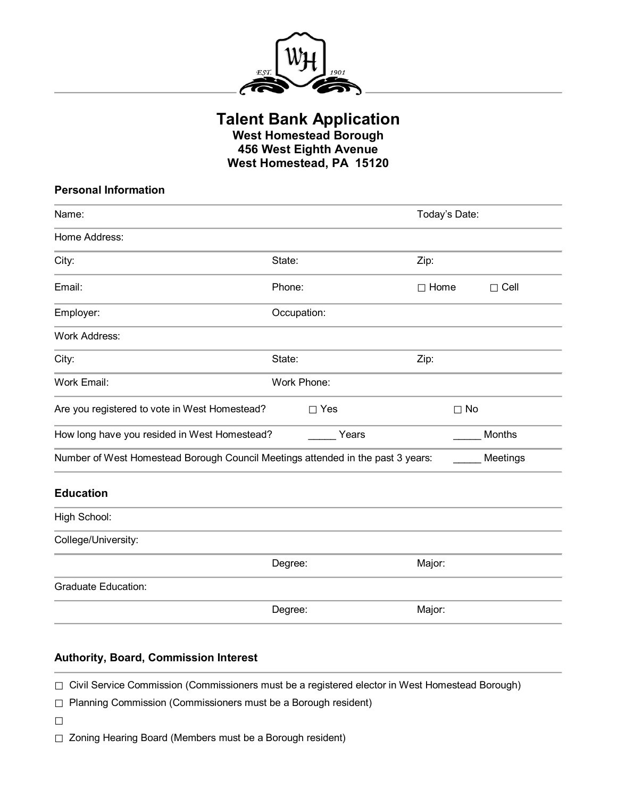

**Talent Bank Application**

**West Homestead Borough 456 West Eighth Avenue West Homestead, PA 15120**

| <b>Personal Information</b>                                                     |             |                            |
|---------------------------------------------------------------------------------|-------------|----------------------------|
| Name:                                                                           |             | Today's Date:              |
| Home Address:                                                                   |             |                            |
| City:                                                                           | State:      | Zip:                       |
| Email:                                                                          | Phone:      | $\Box$ Home<br>$\Box$ Cell |
| Employer:                                                                       | Occupation: |                            |
| <b>Work Address:</b>                                                            |             |                            |
| City:                                                                           | State:      | Zip:                       |
| Work Email:                                                                     | Work Phone: |                            |
| Are you registered to vote in West Homestead?                                   | $\Box$ Yes  | $\Box$ No                  |
| How long have you resided in West Homestead?                                    | Years       | Months                     |
| Number of West Homestead Borough Council Meetings attended in the past 3 years: |             | Meetings                   |
| <b>Education</b>                                                                |             |                            |
| High School:                                                                    |             |                            |
| College/University:                                                             |             |                            |
|                                                                                 | Degree:     | Major:                     |
| <b>Graduate Education:</b>                                                      |             |                            |
|                                                                                 | Degree:     | Major:                     |

## **Authority, Board, Commission Interest**

□ Civil Service Commission (Commissioners must be a registered elector in West Homestead Borough)

□ Planning Commission (Commissioners must be a Borough resident)

 $\Box$ 

□ Zoning Hearing Board (Members must be a Borough resident)